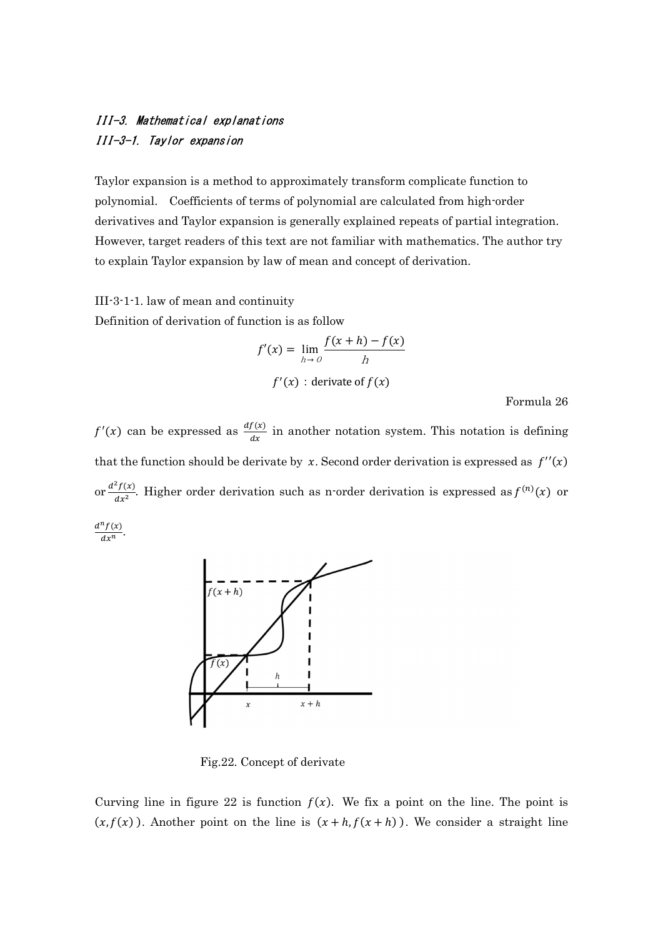## III-3. Mathematical explanations III-3-1. Taylor expansion

Taylor expansion is a method to approximately transform complicate function to polynomial. Coefficients of terms of polynomial are calculated from high-order derivatives and Taylor expansion is generally explained repeats of partial integration. However, target readers of this text are not familiar with mathematics. The author try to explain Taylor expansion by law of mean and concept of derivation.

III-3-1-1. law of mean and continuity

Definition of derivation of function is as follow

$$
f'(x) = \lim_{h \to 0} \frac{f(x+h) - f(x)}{h}
$$
  

$$
f'(x) : \text{derivate of } f(x)
$$

Formula 26

 $f'(x)$  can be expressed as  $\frac{df(x)}{dx}$  in another notation system. This notation is defining that the function should be derivate by x. Second order derivation is expressed as  $f''(x)$ or  $\frac{d^2f(x)}{dx^2}$  $\frac{f(x)}{dx^2}$ . Higher order derivation such as n-order derivation is expressed as  $f^{(n)}(x)$  or  $d^n f(x)$  $\frac{f(x)}{dx^n}$ .



Fig.22. Concept of derivate

Curving line in figure 22 is function  $f(x)$ . We fix a point on the line. The point is  $(x, f(x))$ . Another point on the line is  $(x + h, f(x + h))$ . We consider a straight line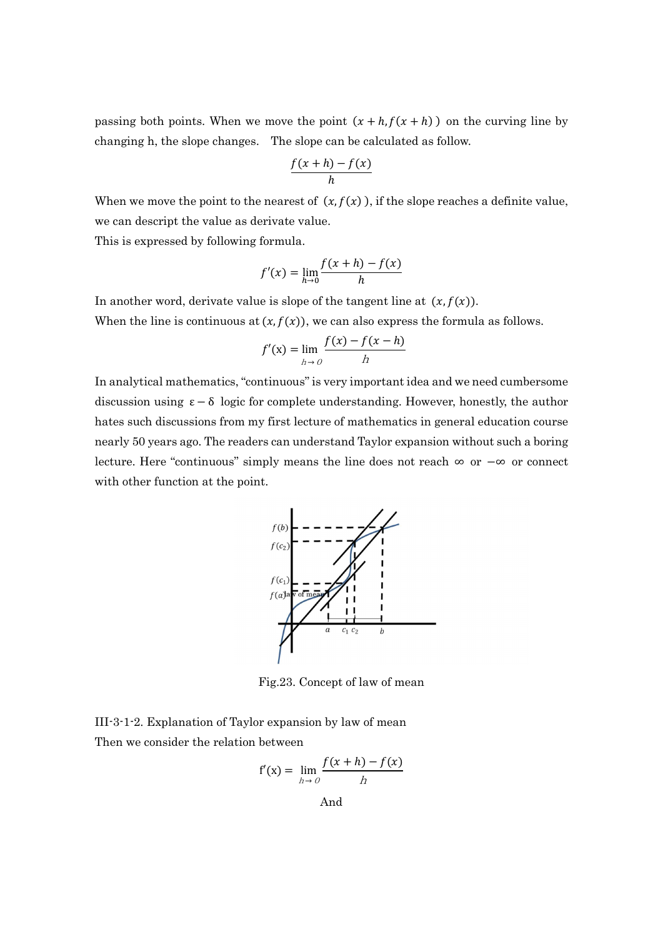passing both points. When we move the point  $(x + h, f(x + h))$  on the curving line by changing h, the slope changes. The slope can be calculated as follow.

$$
\frac{f(x+h)-f(x)}{h}
$$

When we move the point to the nearest of  $(x, f(x))$ , if the slope reaches a definite value, we can descript the value as derivate value.

This is expressed by following formula.

$$
f'(x) = \lim_{h \to 0} \frac{f(x+h) - f(x)}{h}
$$

In another word, derivate value is slope of the tangent line at  $(x, f(x))$ .

When the line is continuous at  $(x, f(x))$ , we can also express the formula as follows.

$$
f'(x) = \lim_{h \to 0} \frac{f(x) - f(x - h)}{h}
$$

In analytical mathematics, "continuous" is very important idea and we need cumbersome discussion using  $\epsilon - \delta$  logic for complete understanding. However, honestly, the author hates such discussions from my first lecture of mathematics in general education course nearly 50 years ago. The readers can understand Taylor expansion without such a boring lecture. Here "continuous" simply means the line does not reach ∞ or −∞ or connect with other function at the point.



Fig.23. Concept of law of mean

III-3-1-2. Explanation of Taylor expansion by law of mean Then we consider the relation between

$$
f'(x) = \lim_{h \to 0} \frac{f(x+h) - f(x)}{h}
$$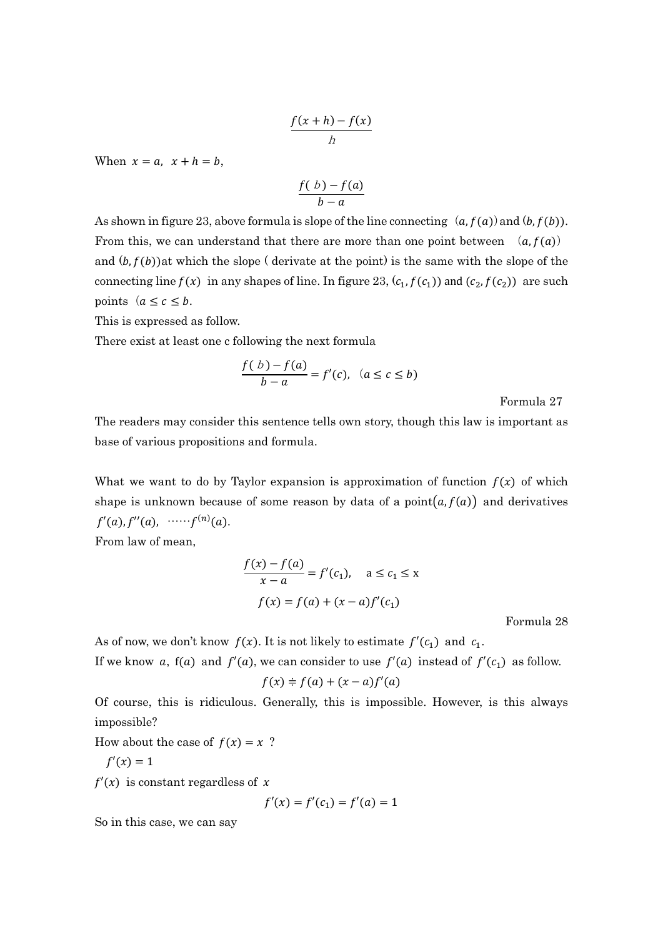$$
\frac{f(x+h)-f(x)}{h}
$$

When  $x = a$ ,  $x + h = b$ ,

$$
\frac{f(b)-f(a)}{b-a}
$$

As shown in figure 23, above formula is slope of the line connecting  $(a, f(a))$  and  $(b, f(b))$ . From this, we can understand that there are more than one point between  $(a, f(a))$ and  $(b, f(b))$ at which the slope (derivate at the point) is the same with the slope of the connecting line  $f(x)$  in any shapes of line. In figure 23,  $(c_1, f(c_1))$  and  $(c_2, f(c_2))$  are such points  $(a \leq c \leq b$ .

This is expressed as follow.

There exist at least one c following the next formula

$$
\frac{f(b)-f(a)}{b-a}=f'(c), \ (a\leq c\leq b)
$$

Formula 27

The readers may consider this sentence tells own story, though this law is important as base of various propositions and formula.

What we want to do by Taylor expansion is approximation of function  $f(x)$  of which shape is unknown because of some reason by data of a point $(a, f(a))$  and derivatives  $f'(a)$ ,  $f''(a)$ , …… $f^{(n)}(a)$ .

From law of mean,

$$
\frac{f(x) - f(a)}{x - a} = f'(c_1), \quad a \le c_1 \le x
$$

$$
f(x) = f(a) + (x - a)f'(c_1)
$$

Formula 28

As of now, we don't know  $f(x)$ . It is not likely to estimate  $f'(c_1)$  and  $c_1$ .

If we know a,  $f(a)$  and  $f'(a)$ , we can consider to use  $f'(a)$  instead of  $f'(c_1)$  as follow.

$$
f(x) \doteq f(a) + (x - a)f'(a)
$$

Of course, this is ridiculous. Generally, this is impossible. However, is this always impossible?

How about the case of  $f(x) = x$  ?

$$
f'(x)=1
$$

 $f'(x)$  is constant regardless of x

$$
f'(x) = f'(c_1) = f'(a) = 1
$$

So in this case, we can say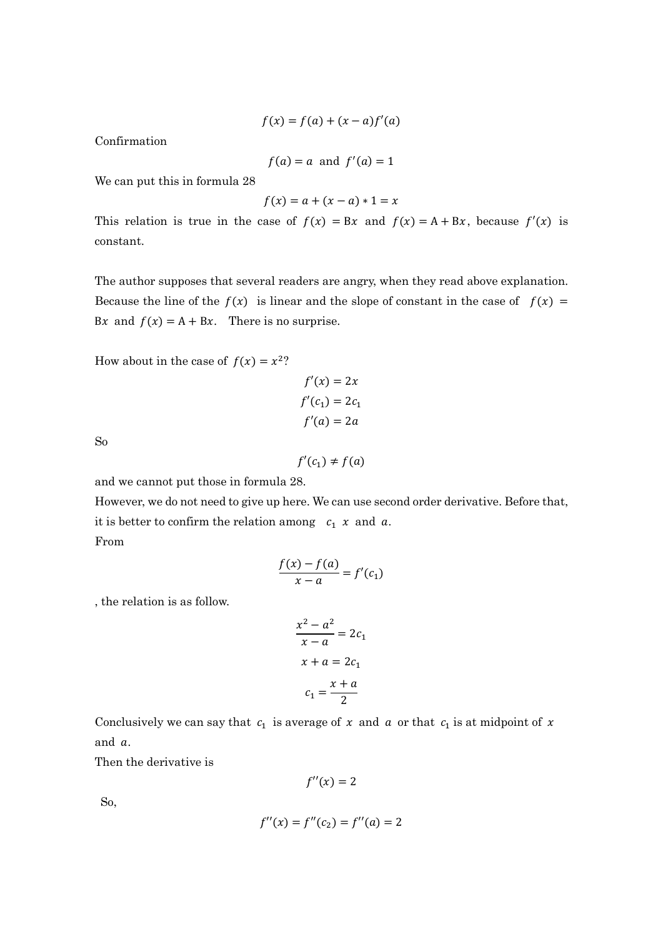$$
f(x) = f(a) + (x - a)f'(a)
$$

Confirmation

$$
f(a) = a \text{ and } f'(a) = 1
$$

We can put this in formula 28

$$
f(x) = a + (x - a) \cdot 1 = x
$$

This relation is true in the case of  $f(x) = Bx$  and  $f(x) = A + Bx$ , because  $f'(x)$  is constant.

The author supposes that several readers are angry, when they read above explanation. Because the line of the  $f(x)$  is linear and the slope of constant in the case of  $f(x) =$ Bx and  $f(x) = A + Bx$ . There is no surprise.

How about in the case of  $f(x) = x^2$ ?

$$
f'(x) = 2x
$$
  

$$
f'(c_1) = 2c_1
$$
  

$$
f'(a) = 2a
$$

So

 $f'(c_1) \neq f(a)$ 

and we cannot put those in formula 28.

However, we do not need to give up here. We can use second order derivative. Before that, it is better to confirm the relation among  $c_1$  x and a. From

$$
\frac{f(x) - f(a)}{x - a} = f'(c_1)
$$

, the relation is as follow.

$$
\frac{x^2 - a^2}{x - a} = 2c_1
$$

$$
x + a = 2c_1
$$

$$
c_1 = \frac{x + a}{2}
$$

Conclusively we can say that  $c_1$  is average of  $x$  and  $a$  or that  $c_1$  is at midpoint of  $x$ and a.

Then the derivative is

$$
f''(x)=2
$$

So,

$$
f''(x) = f''(c_2) = f''(a) = 2
$$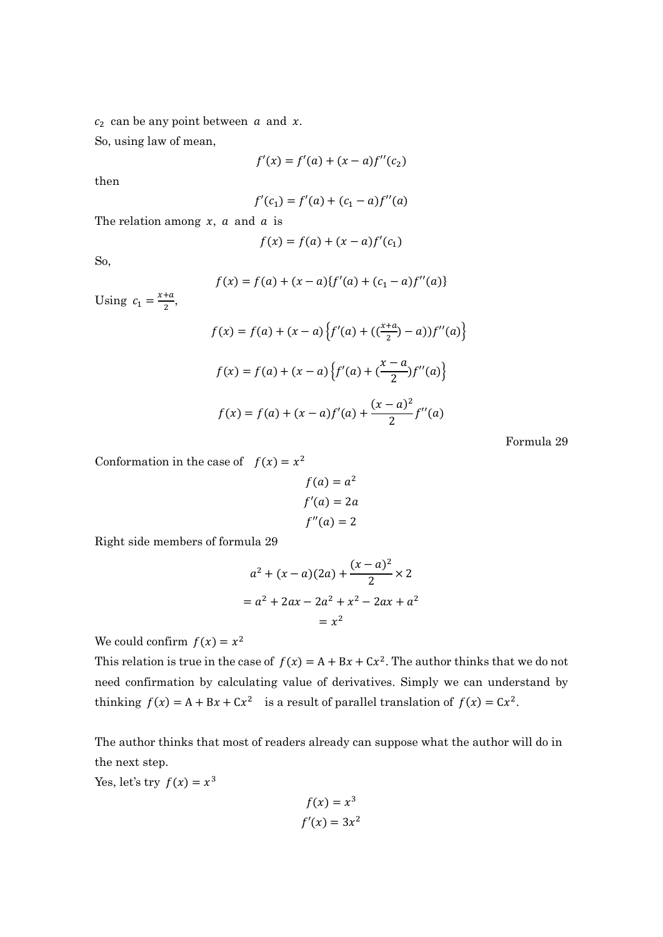$c_2$  can be any point between  $a$  and  $x$ .

So, using law of mean,

$$
f'(x) = f'(a) + (x - a)f''(c_2)
$$

then

$$
f'(c_1) = f'(a) + (c_1 - a)f''(a)
$$

The relation among  $x$ ,  $a$  and  $a$  is

$$
f(x) = f(a) + (x - a)f'(c_1)
$$

So,

$$
f(x) = f(a) + (x - a)\{f'(a) + (c_1 - a)f''(a)\}
$$

Using  $c_1 = \frac{x+a}{2}$  $\frac{du}{2}$ 

$$
f(x) = f(a) + (x - a) \left\{ f'(a) + \left( \frac{x+a}{2} \right) - a \right\} f''(a) \right\}
$$

$$
f(x) = f(a) + (x - a) \left\{ f'(a) + \left( \frac{x-a}{2} \right) f''(a) \right\}
$$

$$
f(x) = f(a) + (x - a) f'(a) + \frac{(x - a)^2}{2} f''(a)
$$

Formula 29

Conformation in the case of  $f(x) = x^2$ 

$$
f(a) = a2
$$
  

$$
f'(a) = 2a
$$
  

$$
f''(a) = 2
$$

Right side members of formula 29

$$
a^{2} + (x - a)(2a) + \frac{(x - a)^{2}}{2} \times 2
$$
  
= a<sup>2</sup> + 2ax - 2a<sup>2</sup> + x<sup>2</sup> - 2ax + a<sup>2</sup>  
= x<sup>2</sup>

We could confirm  $f(x) = x^2$ 

This relation is true in the case of  $f(x) = A + Bx + Cx^2$ . The author thinks that we do not need confirmation by calculating value of derivatives. Simply we can understand by thinking  $f(x) = A + Bx + Cx^2$  is a result of parallel translation of  $f(x) = Cx^2$ .

The author thinks that most of readers already can suppose what the author will do in the next step.

Yes, let's try  $f(x) = x^3$ 

$$
f(x) = x^3
$$
  

$$
f'(x) = 3x^2
$$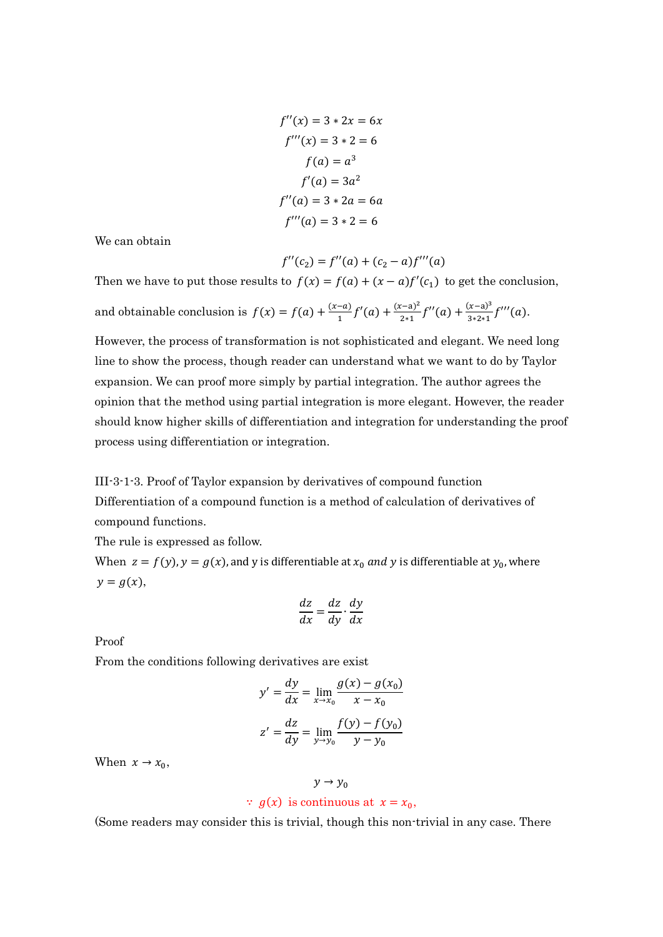$$
f''(x) = 3 * 2x = 6x
$$
  
\n
$$
f'''(x) = 3 * 2 = 6
$$
  
\n
$$
f(a) = a^3
$$
  
\n
$$
f'(a) = 3a^2
$$
  
\n
$$
f''(a) = 3 * 2a = 6a
$$
  
\n
$$
f'''(a) = 3 * 2 = 6
$$

We can obtain

$$
f''(c_2) = f''(a) + (c_2 - a)f'''(a)
$$

Then we have to put those results to  $f(x) = f(a) + (x - a)f'(c_1)$  to get the conclusion, and obtainable conclusion is  $f(x) = f(a) + \frac{(x-a)}{1}f'(a) + \frac{(x-a)^2}{2*1}$  $rac{(x-a)^2}{2*1}f''(a) + \frac{(x-a)^3}{3*2*1}f'''(a).$ 

However, the process of transformation is not sophisticated and elegant. We need long line to show the process, though reader can understand what we want to do by Taylor expansion. We can proof more simply by partial integration. The author agrees the opinion that the method using partial integration is more elegant. However, the reader should know higher skills of differentiation and integration for understanding the proof process using differentiation or integration.

III-3-1-3. Proof of Taylor expansion by derivatives of compound function Differentiation of a compound function is a method of calculation of derivatives of compound functions.

The rule is expressed as follow.

When  $z = f(y)$ ,  $y = g(x)$ , and y is differentiable at  $x_0$  and y is differentiable at  $y_0$ , where  $y = g(x),$ 

$$
\frac{dz}{dx} = \frac{dz}{dy} \cdot \frac{dy}{dx}
$$

Proof

From the conditions following derivatives are exist

$$
y' = \frac{dy}{dx} = \lim_{x \to x_0} \frac{g(x) - g(x_0)}{x - x_0}
$$

$$
z' = \frac{dz}{dy} = \lim_{y \to y_0} \frac{f(y) - f(y_0)}{y - y_0}
$$

When  $x \to x_0$ ,

## $y \rightarrow y_0$

## $\therefore$  g(x) is continuous at  $x = x_0$ ,

(Some readers may consider this is trivial, though this non-trivial in any case. There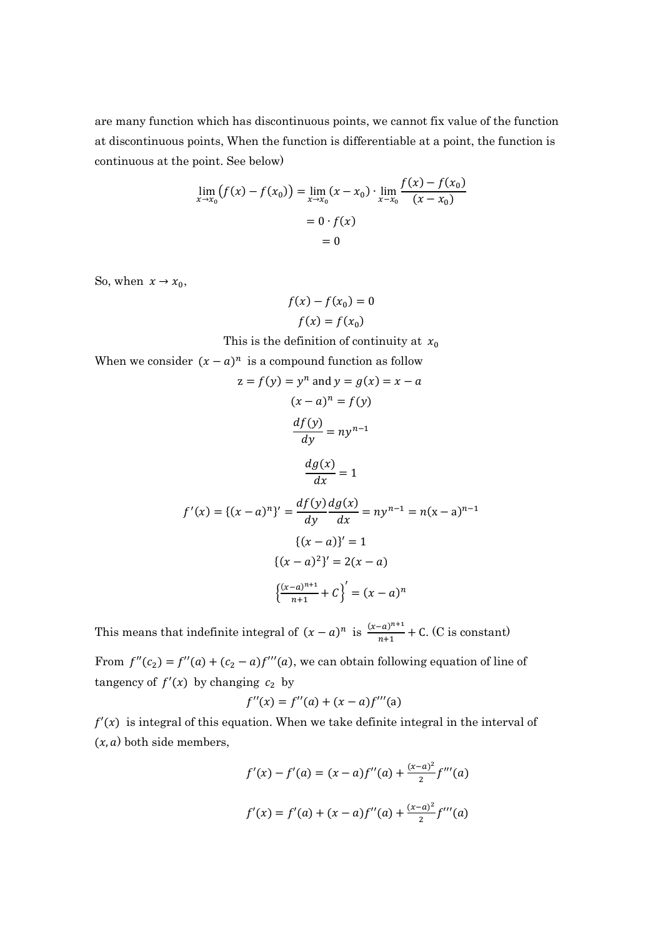are many function which has discontinuous points, we cannot fix value of the function at discontinuous points, When the function is differentiable at a point, the function is continuous at the point. See below)

$$
\lim_{x \to x_0} (f(x) - f(x_0)) = \lim_{x \to x_0} (x - x_0) \cdot \lim_{x \to x_0} \frac{f(x) - f(x_0)}{(x - x_0)}
$$
  
= 0 · f(x)  
= 0

So, when  $x \rightarrow x_0$ ,

$$
f(x) - f(x_0) = 0
$$
  

$$
f(x) = f(x_0)
$$

This is the definition of continuity at  $x_0$ 

When we consider  $(x - a)^n$  is a compound function as follow

$$
z = f(y) = y^n \text{ and } y = g(x) = x - a
$$
  

$$
(x - a)^n = f(y)
$$
  

$$
\frac{df(y)}{dy} = ny^{n-1}
$$
  

$$
\frac{dg(x)}{dx} = 1
$$
  

$$
f'(x) = \{(x - a)^n\}' = \frac{df(y) dg(x)}{dy} = ny^{n-1} = n(x - a)^{n-1}
$$
  

$$
\{(x - a)\}' = 1
$$
  

$$
\{(x - a)^2\}' = 2(x - a)
$$
  

$$
\left(\frac{(x - a)^{n+1}}{n+1} + C\right)' = (x - a)^n
$$

This means that indefinite integral of  $(x - a)^n$  is  $\frac{(x - a)^{n+1}}{n+1} + C$ . (C is constant)

From  $f''(c_2) = f''(a) + (c_2 - a)f'''(a)$ , we can obtain following equation of line of tangency of  $f'(x)$  by changing  $c_2$  by

$$
f''(x) = f''(a) + (x - a)f'''(a)
$$

 $f'(x)$  is integral of this equation. When we take definite integral in the interval of  $(x, a)$  both side members,

$$
f'(x) - f'(a) = (x - a)f''(a) + \frac{(x - a)^2}{2}f'''(a)
$$

$$
f'(x) = f'(a) + (x - a)f''(a) + \frac{(x - a)^2}{2}f'''(a)
$$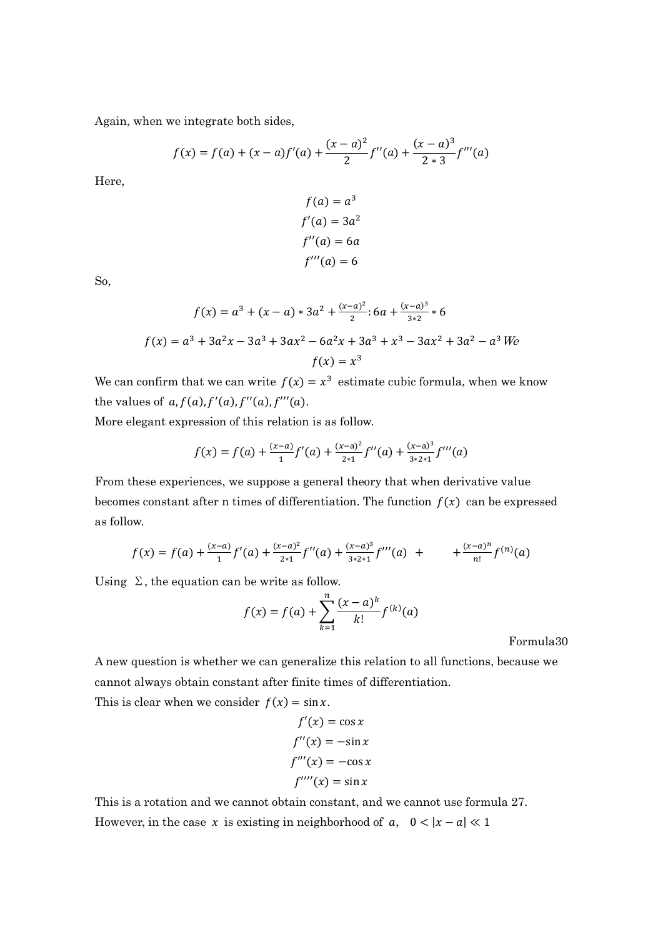Again, when we integrate both sides,

$$
f(x) = f(a) + (x - a)f'(a) + \frac{(x - a)^2}{2}f''(a) + \frac{(x - a)^3}{2 \cdot 3}f'''(a)
$$

Here,

$$
f(a) = a3
$$
  
f'(a) = 3a<sup>2</sup>  
f''(a) = 6a  
f'''(a) = 6

So,

$$
f(x) = a^3 + (x - a) * 3a^2 + \frac{(x - a)^2}{2} : 6a + \frac{(x - a)^3}{3 \times 2} * 6
$$
  

$$
f(x) = a^3 + 3a^2x - 3a^3 + 3ax^2 - 6a^2x + 3a^3 + x^3 - 3ax^2 + 3a^2 - a^3
$$
  

$$
f(x) = x^3
$$

We can confirm that we can write  $f(x) = x^3$  estimate cubic formula, when we know the values of  $a, f(a), f'(a), f''(a), f'''(a)$ .

More elegant expression of this relation is as follow.

$$
f(x) = f(a) + \frac{(x-a)}{1}f'(a) + \frac{(x-a)^2}{2*1}f''(a) + \frac{(x-a)^3}{3*2*1}f'''(a)
$$

From these experiences, we suppose a general theory that when derivative value becomes constant after n times of differentiation. The function  $f(x)$  can be expressed as follow.

$$
f(x) = f(a) + \frac{(x-a)}{1}f'(a) + \frac{(x-a)^2}{2*1}f''(a) + \frac{(x-a)^3}{3*2*1}f'''(a) + \frac{(x-a)^n}{n!}f^{(n)}(a)
$$

Using  $\Sigma$ , the equation can be write as follow.

$$
f(x) = f(a) + \sum_{k=1}^{n} \frac{(x-a)^k}{k!} f^{(k)}(a)
$$

Formula30

A new question is whether we can generalize this relation to all functions, because we cannot always obtain constant after finite times of differentiation.

This is clear when we consider  $f(x) = \sin x$ .

$$
f'(x) = \cos x
$$
  

$$
f''(x) = -\sin x
$$
  

$$
f'''(x) = -\cos x
$$
  

$$
f''''(x) = \sin x
$$

This is a rotation and we cannot obtain constant, and we cannot use formula 27. However, in the case x is existing in neighborhood of  $a, \quad 0 < |x - a| \ll 1$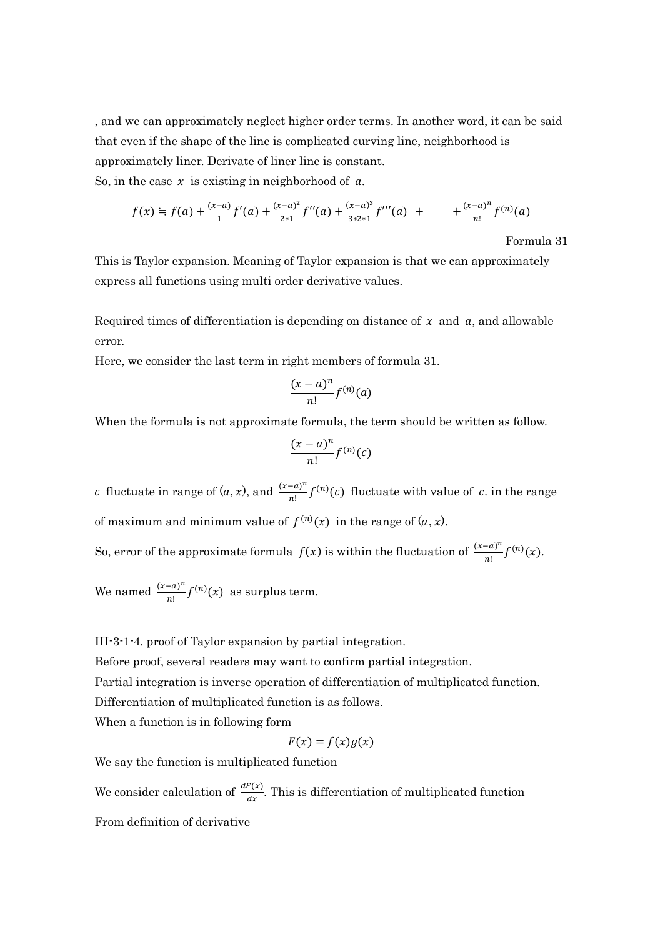, and we can approximately neglect higher order terms. In another word, it can be said that even if the shape of the line is complicated curving line, neighborhood is approximately liner. Derivate of liner line is constant.

So, in the case  $x$  is existing in neighborhood of  $a$ .

$$
f(x) = f(a) + \frac{(x-a)}{1}f'(a) + \frac{(x-a)^2}{2*1}f''(a) + \frac{(x-a)^3}{3*2*1}f'''(a) + \qquad + \frac{(x-a)^n}{n!}f^{(n)}(a)
$$

Formula 31

This is Taylor expansion. Meaning of Taylor expansion is that we can approximately express all functions using multi order derivative values.

Required times of differentiation is depending on distance of  $x$  and  $a$ , and allowable error.

Here, we consider the last term in right members of formula 31.

$$
\frac{(x-a)^n}{n!}f^{(n)}(a)
$$

When the formula is not approximate formula, the term should be written as follow.

$$
\frac{(x-a)^n}{n!}f^{(n)}(c)
$$

c fluctuate in range of  $(a, x)$ , and  $\frac{(x-a)^n}{n!} f^{(n)}(c)$  fluctuate with value of c. in the range of maximum and minimum value of  $f^{(n)}(x)$  in the range of  $(a, x)$ .

So, error of the approximate formula  $f(x)$  is within the fluctuation of  $\frac{(x-a)^n}{n!} f^{(n)}(x)$ .

We named  $\frac{(x-a)^n}{n!} f^{(n)}(x)$  as surplus term.

III-3-1-4. proof of Taylor expansion by partial integration.

Before proof, several readers may want to confirm partial integration.

Partial integration is inverse operation of differentiation of multiplicated function.

Differentiation of multiplicated function is as follows.

When a function is in following form

$$
F(x) = f(x)g(x)
$$

We say the function is multiplicated function

We consider calculation of  $\frac{dF(x)}{dx}$ . This is differentiation of multiplicated function

From definition of derivative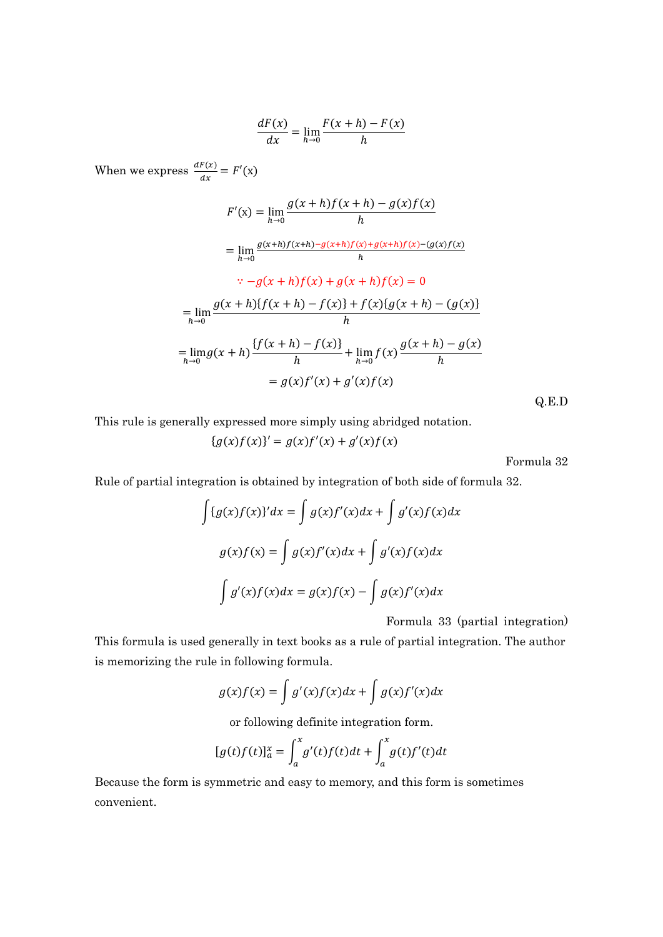$$
\frac{dF(x)}{dx} = \lim_{h \to 0} \frac{F(x+h) - F(x)}{h}
$$

When we express  $\frac{dF(x)}{dx} = F'(x)$ 

$$
F'(x) = \lim_{h \to 0} \frac{g(x+h)f(x+h) - g(x)f(x)}{h}
$$
  
\n
$$
= \lim_{h \to 0} \frac{g(x+h)f(x+h) - g(x+h)f(x) + g(x+h)f(x) - (g(x)f(x))}{h}
$$
  
\n
$$
\therefore -g(x+h)f(x) + g(x+h)f(x) = 0
$$
  
\n
$$
= \lim_{h \to 0} \frac{g(x+h)\{f(x+h) - f(x)\} + f(x)\{g(x+h) - (g(x)\} + \lim_{h \to 0} f(x)\frac{g(x+h) - g(x)}{h}
$$
  
\n
$$
= \lim_{h \to 0} g(x+h) \frac{\{f(x+h) - f(x)\}}{h} + \lim_{h \to 0} f(x) \frac{g(x+h) - g(x)}{h}
$$
  
\n
$$
= g(x)f'(x) + g'(x)f(x)
$$
 Q.E.D

This rule is generally expressed more simply using abridged notation.

 ${g(x)f(x)}' = g(x)f'(x) + g'(x)f(x)$ 

Formula 32

Rule of partial integration is obtained by integration of both side of formula 32.

$$
\int \{g(x)f(x)\}^{\prime} dx = \int g(x)f'(x)dx + \int g'(x)f(x)dx
$$

$$
g(x)f(x) = \int g(x)f'(x)dx + \int g'(x)f(x)dx
$$

$$
\int g'(x)f(x)dx = g(x)f(x) - \int g(x)f'(x)dx
$$

Formula 33 (partial integration)

This formula is used generally in text books as a rule of partial integration. The author is memorizing the rule in following formula.

$$
g(x)f(x) = \int g'(x)f(x)dx + \int g(x)f'(x)dx
$$

or following definite integration form.

$$
[g(t)f(t)]_a^x = \int_a^x g'(t)f(t)dt + \int_a^x g(t)f'(t)dt
$$

Because the form is symmetric and easy to memory, and this form is sometimes convenient.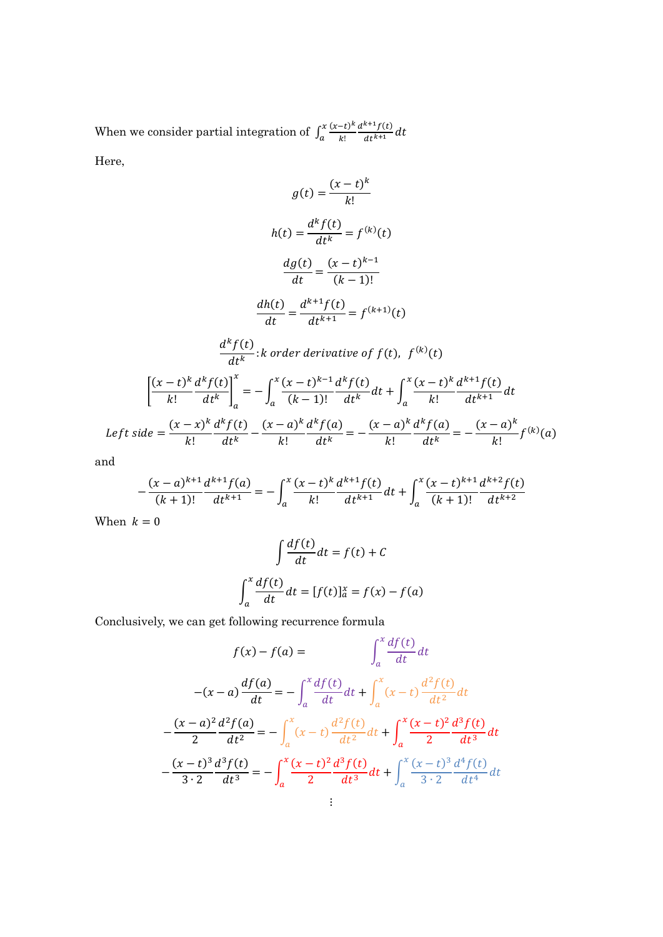When we consider partial integration of  $\int_{a}^{x} \frac{(x-t)^k}{k!}$ k!  $d^{k+1}f(t)$  $dt^{k+1}$  $\boldsymbol{\chi}$  $\int_{a}^{x} \frac{(x-t)}{k!} \frac{u}{dt^{k+1}} dt$ 

Here,

$$
g(t) = \frac{(x-t)^k}{k!}
$$

$$
h(t) = \frac{d^k f(t)}{dt^k} = f^{(k)}(t)
$$

$$
\frac{dg(t)}{dt} = \frac{(x-t)^{k-1}}{(k-1)!}
$$

$$
\frac{dh(t)}{dt} = \frac{d^{k+1} f(t)}{dt^{k+1}} = f^{(k+1)}(t)
$$

$$
\frac{d^k f(t)}{dt^k} : k \text{ order derivative of } f(t), \ f^{(k)}(t)
$$

$$
\left[ \frac{(x-t)^k}{k!} \frac{d^k f(t)}{dt^k} \right]_a^x = -\int_a^x \frac{(x-t)^{k-1} d^k f(t)}{(k-1)!} dt + \int_a^x \frac{(x-t)^k}{k!} \frac{d^{k+1} f(t)}{dt^{k+1}} dt
$$

$$
\text{Left side} = \frac{(x-x)^k}{k!} \frac{d^k f(t)}{dt^k} - \frac{(x-a)^k}{k!} \frac{d^k f(a)}{dt^k} = -\frac{(x-a)^k}{k!} \frac{d^k f(a)}{dt^k} = -\frac{(x-a)^k}{k!} f^{(k)}(a)
$$

and

$$
-\frac{(x-a)^{k+1}}{(k+1)!}\frac{d^{k+1}f(a)}{dt^{k+1}} = -\int_{a}^{x} \frac{(x-t)^{k}}{k!} \frac{d^{k+1}f(t)}{dt^{k+1}} dt + \int_{a}^{x} \frac{(x-t)^{k+1}}{(k+1)!} \frac{d^{k+2}f(t)}{dt^{k+2}}
$$

When  $k = 0$ 

$$
\int \frac{df(t)}{dt} dt = f(t) + C
$$

$$
\int_{a}^{x} \frac{df(t)}{dt} dt = [f(t)]_{a}^{x} = f(x) - f(a)
$$

Conclusively, we can get following recurrence formula

$$
f(x) - f(a) = \int_{a}^{x} \frac{df(t)}{dt} dt
$$

$$
-(x - a) \frac{df(a)}{dt} = -\int_{a}^{x} \frac{df(t)}{dt} dt + \int_{a}^{x} (x - t) \frac{d^{2} f(t)}{dt^{2}} dt
$$

$$
-\frac{(x - a)^{2}}{2} \frac{d^{2} f(a)}{dt^{2}} = -\int_{a}^{x} (x - t) \frac{d^{2} f(t)}{dt^{2}} dt + \int_{a}^{x} \frac{(x - t)^{2}}{2} \frac{d^{3} f(t)}{dt^{3}} dt
$$

$$
-\frac{(x - t)^{3}}{3 \cdot 2} \frac{d^{3} f(t)}{dt^{3}} = -\int_{a}^{x} \frac{(x - t)^{2}}{2} \frac{d^{3} f(t)}{dt^{3}} dt + \int_{a}^{x} \frac{(x - t)^{3}}{3 \cdot 2} \frac{d^{4} f(t)}{dt^{4}} dt
$$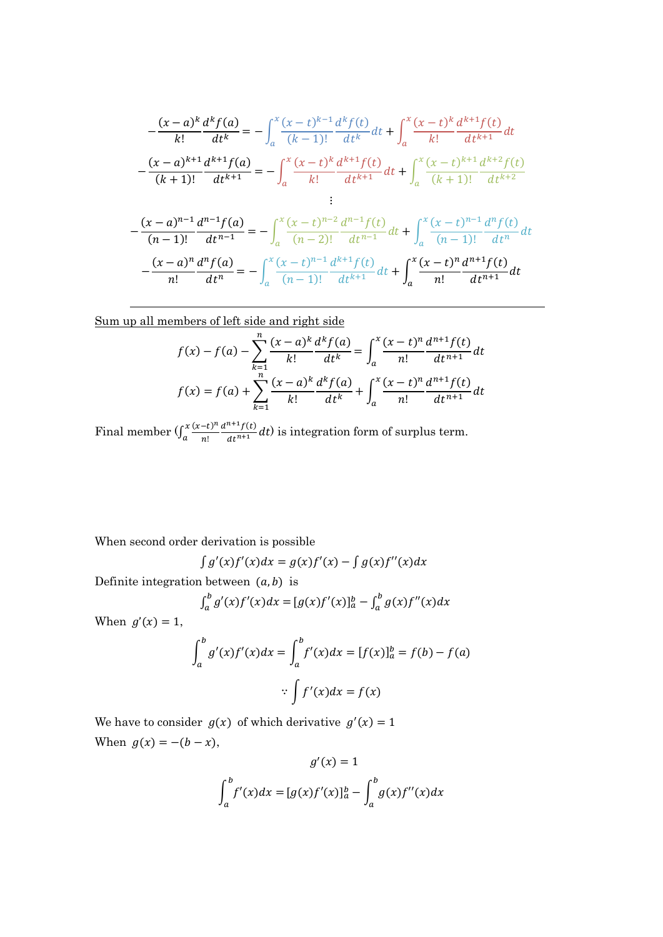$$
-\frac{(x-a)^k}{k!} \frac{d^k f(a)}{dt^k} = -\int_a^x \frac{(x-t)^{k-1}}{(k-1)!} \frac{d^k f(t)}{dt^k} dt + \int_a^x \frac{(x-t)^k}{k!} \frac{d^{k+1} f(t)}{dt^{k+1}} dt
$$

$$
-\frac{(x-a)^{k+1}}{(k+1)!} \frac{d^{k+1} f(a)}{dt^{k+1}} = -\int_a^x \frac{(x-t)^k}{k!} \frac{d^{k+1} f(t)}{dt^{k+1}} dt + \int_a^x \frac{(x-t)^{k+1}}{(k+1)!} \frac{d^{k+2} f(t)}{dt^{k+2}}
$$

$$
-\frac{(x-a)^{n-1}}{(n-1)!} \frac{d^{n-1} f(a)}{dt^{n-1}} = -\int_a^x \frac{(x-t)^{n-2}}{(n-2)!} \frac{d^{n-1} f(t)}{dt^{n-1}} dt + \int_a^x \frac{(x-t)^{n-1}}{(n-1)!} \frac{d^n f(t)}{dt^n} dt
$$

$$
-\frac{(x-a)^n}{n!} \frac{d^n f(a)}{dt^n} = -\int_a^x \frac{(x-t)^{n-1}}{(n-1)!} \frac{d^{k+1} f(t)}{dt^{k+1}} dt + \int_a^x \frac{(x-t)^n}{n!} \frac{d^{n+1} f(t)}{dt^{n+1}} dt
$$

Sum up all members of left side and right side

$$
f(x) - f(a) - \sum_{k=1}^{n} \frac{(x-a)^k}{k!} \frac{d^k f(a)}{dt^k} = \int_a^x \frac{(x-t)^n}{n!} \frac{d^{n+1} f(t)}{dt^{n+1}} dt
$$

$$
f(x) = f(a) + \sum_{k=1}^{n} \frac{(x-a)^k}{k!} \frac{d^k f(a)}{dt^k} + \int_a^x \frac{(x-t)^n}{n!} \frac{d^{n+1} f(t)}{dt^{n+1}} dt
$$

Final member  $\int_{a}^{x} \frac{(x-t)^n}{n!}$ n!  $d^{n+1}f(t)$  $dt^{n+1}$  $\boldsymbol{\chi}$  $\int_{a}^{x} \frac{(x-t)^{n}}{n!} \frac{d^{n}}{dt^{n+1}} dt$  is integration form of surplus term.

When second order derivation is possible

$$
\int g'(x)f'(x)dx = g(x)f'(x) - \int g(x)f''(x)dx
$$

Definite integration between  $(a, b)$  is

$$
\int_{a}^{b} g'(x)f'(x)dx = [g(x)f'(x)]_{a}^{b} - \int_{a}^{b} g(x)f''(x)dx
$$

When  $g'(x) = 1$ ,

$$
\int_{a}^{b} g'(x)f'(x)dx = \int_{a}^{b} f'(x)dx = [f(x)]_{a}^{b} = f(b) - f(a)
$$

$$
\therefore \int f'(x)dx = f(x)
$$

We have to consider  $g(x)$  of which derivative  $g'(x) = 1$ When  $g(x) = -(b - x)$ ,

$$
g'(x) = 1
$$

$$
\int_a^b f'(x)dx = [g(x)f'(x)]_a^b - \int_a^b g(x)f''(x)dx
$$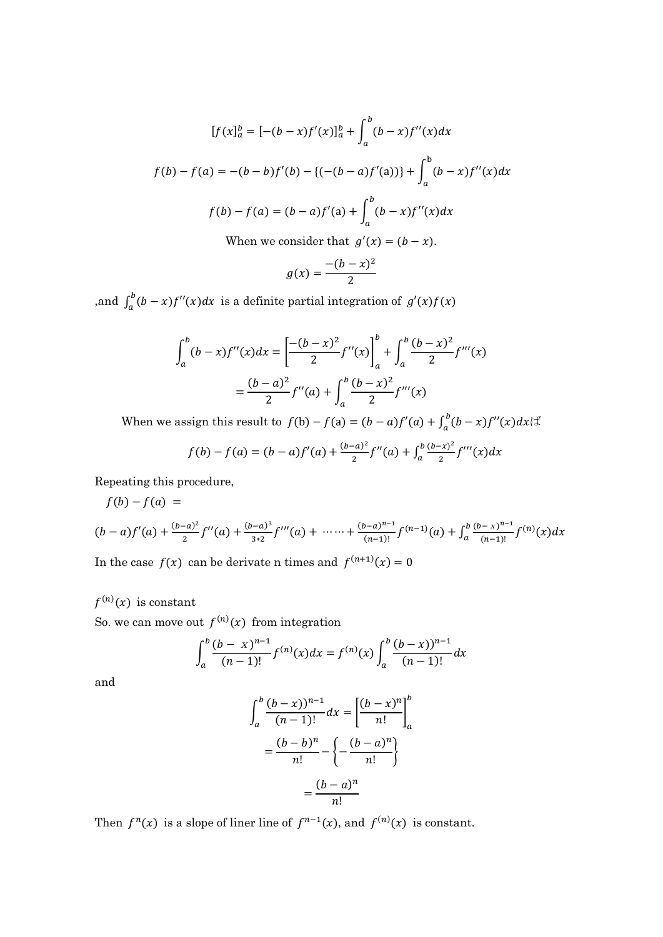$$
[f(x]_a^b = [-(b-x)f'(x)]_a^b + \int_a^b (b-x)f''(x)dx
$$
  

$$
f(b) - f(a) = -(b-b)f'(b) - \{(-(b-a)f'(a))\} + \int_a^b (b-x)f''(x)dx
$$
  

$$
f(b) - f(a) = (b-a)f'(a) + \int_a^b (b-x)f''(x)dx
$$
  
When we consider that  $g'(x) = (b-x)$ .

$$
g(x) = \frac{-(b-x)^2}{2}
$$

,and  $\int_a^b (b-x) f''(x) dx$  is a definite partial integration of  $g'(x) f(x)$ 

$$
\int_{a}^{b} (b-x)f''(x)dx = \left[\frac{-(b-x)^{2}}{2}f''(x)\right]_{a}^{b} + \int_{a}^{b} \frac{(b-x)^{2}}{2}f'''(x)
$$

$$
= \frac{(b-a)^{2}}{2}f''(a) + \int_{a}^{b} \frac{(b-x)^{2}}{2}f'''(x)
$$

When we assign this result to  $f(b) - f(a) = (b - a)f'(a) + \int_a^b (b - x)f''(x)dx$ 

$$
f(b) - f(a) = (b - a)f'(a) + \frac{(b - a)^2}{2}f''(a) + \int_a^b \frac{(b - x)^2}{2}f'''(x)dx
$$

Repeating this procedure,

$$
f(b) - f(a) =
$$
  
\n
$$
(b - a)f'(a) + \frac{(b - a)^2}{2}f''(a) + \frac{(b - a)^3}{3*2}f'''(a) + \dots + \frac{(b - a)^{n-1}}{(n-1)!}f^{(n-1)}(a) + \int_a^b \frac{(b - x)^{n-1}}{(n-1)!}f^{(n)}(x)dx
$$

In the case  $f(x)$  can be derivate n times and  $f^{(n+1)}(x) = 0$ 

## $f^{(n)}(x)$  is constant

So. we can move out  $f^{(n)}(x)$  from integration

$$
\int_{a}^{b} \frac{(b-x)^{n-1}}{(n-1)!} f^{(n)}(x) dx = f^{(n)}(x) \int_{a}^{b} \frac{(b-x)^{n-1}}{(n-1)!} dx
$$

and

$$
\int_{a}^{b} \frac{(b-x)^{n-1}}{(n-1)!} dx = \left[ \frac{(b-x)^{n}}{n!} \right]_{a}^{b}
$$

$$
= \frac{(b-b)^{n}}{n!} - \left\{ -\frac{(b-a)^{n}}{n!} \right\}
$$

$$
= \frac{(b-a)^{n}}{n!}
$$

Then  $f^{n}(x)$  is a slope of liner line of  $f^{n-1}(x)$ , and  $f^{(n)}(x)$  is constant.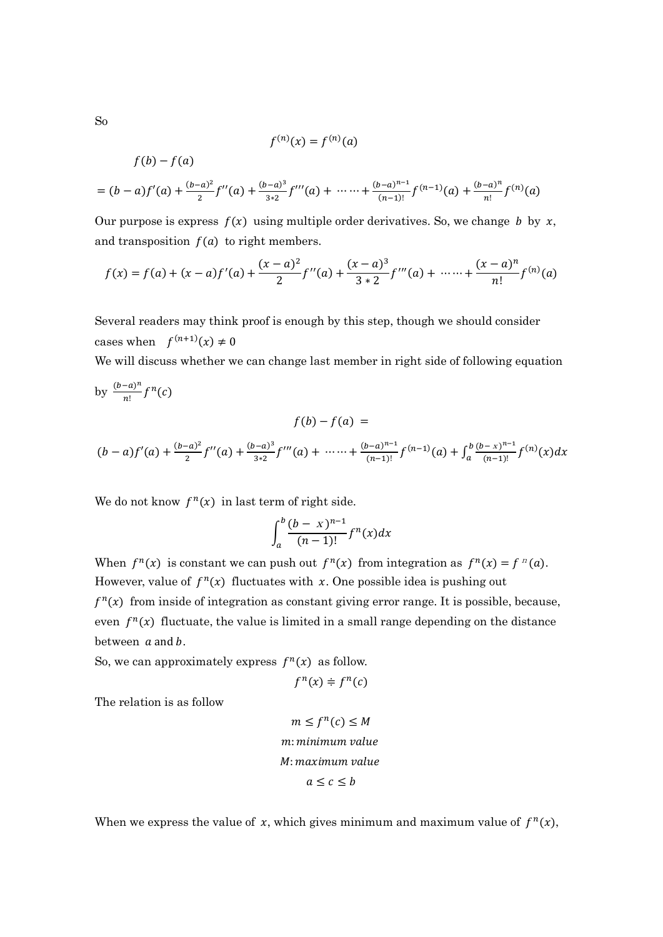So

 $f(b) - f(a)$ 

$$
f^{(n)}(x) = f^{(n)}(a)
$$

$$
= (b-a)f'(a) + \frac{(b-a)^2}{2}f''(a) + \frac{(b-a)^3}{3*2}f'''(a) + \cdots + \frac{(b-a)^{n-1}}{(n-1)!}f^{(n-1)}(a) + \frac{(b-a)^n}{n!}f^{(n)}(a)
$$

Our purpose is express  $f(x)$  using multiple order derivatives. So, we change *b* by x, and transposition  $f(a)$  to right members.

$$
f(x) = f(a) + (x - a)f'(a) + \frac{(x - a)^2}{2}f''(a) + \frac{(x - a)^3}{3 \cdot 2}f'''(a) + \dots + \frac{(x - a)^n}{n!}f^{(n)}(a)
$$

Several readers may think proof is enough by this step, though we should consider cases when  $f^{(n+1)}(x) \neq 0$ 

We will discuss whether we can change last member in right side of following equation

by 
$$
\frac{(b-a)^n}{n!} f^n(c)
$$
  

$$
f(b) - f(a) =
$$

$$
(b-a)f'(a) + \frac{(b-a)^2}{2}f''(a) + \frac{(b-a)^3}{3*2}f'''(a) + \cdots + \frac{(b-a)^{n-1}}{(n-1)!}f^{(n-1)}(a) + \int_a^b \frac{(b-x)^{n-1}}{(n-1)!}f^{(n)}(x)dx
$$

We do not know  $f^{n}(x)$  in last term of right side.

$$
\int_a^b \frac{(b-x)^{n-1}}{(n-1)!} f^n(x) dx
$$

When  $f^{n}(x)$  is constant we can push out  $f^{n}(x)$  from integration as  $f^{n}(x) = f^{n}(a)$ . However, value of  $f^{n}(x)$  fluctuates with x. One possible idea is pushing out  $f^{n}(x)$  from inside of integration as constant giving error range. It is possible, because, even  $f^{n}(x)$  fluctuate, the value is limited in a small range depending on the distance between  $a$  and  $b$ .

So, we can approximately express  $f^{n}(x)$  as follow.

$$
f^n(x) \doteqdot f^n(c)
$$

The relation is as follow

$$
m \le f^{n}(c) \le M
$$
  

$$
m: minimum value
$$
  

$$
M: maximum value
$$
  

$$
a \le c \le b
$$

When we express the value of x, which gives minimum and maximum value of  $f^{n}(x)$ ,